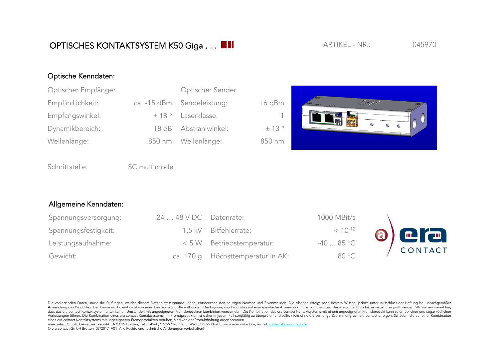## Optische Kenndaten:

| Optischer Empfänger | Optischer Sender           |          |  |
|---------------------|----------------------------|----------|--|
| Empfindlichkeit:    | ca. -15 dBm Sendeleistung: | $+6$ dBm |  |
| Empfangswinkel:     | $\pm$ 18 ° Laserklasse:    | -1.      |  |
| Dynamikbereich:     | 18 dB Abstrahlwinkel:      | ± 13°    |  |
| Wellenlänge:        | 850 nm Wellenlänge:        | 850 nm   |  |



Schnittstelle: SC multimode

## Allgemeine Kenndaten:

| Spannungsversorgung: | 24  48 V DC Datenrate: |                                   | 1000 MBit/s  |                     |
|----------------------|------------------------|-----------------------------------|--------------|---------------------|
| Spannungsfestigkeit: |                        | 1,5 kV Bitfehlerrate:             | $< 10^{-12}$ | $\odot$ era         |
| Leistungsaufnahme:   |                        | < 5 W Betriebstemperatur:         | $-4085$ °C   | CONTAC <sup>-</sup> |
| Gewicht:             |                        | ca. 170 g Höchsttemperatur in AK: | 80 °C        |                     |

Die vorliegenden Daten, sowie die Prüfungen, welche diesem Datenblatt zugrunde liegen, entsprechen den heutigen Normen und Erkenntnissen. Die Abgabe erfolgt nach bestem Wissen, jedoch unter Ausschluss der Haftung bei unsac Anwendung des Produktes. Der Kunde wird damit nicht von einer Eingangskontrolle entbunden. Die Eignung des Produktes auf eine spezifische Anwendung muss vom Benutzer des era-contact Produktes selbst überprüft werden. Wir w dass das era-contact Kontaktsystem unter keinen Umständen mit ungeeigneten Fremdprodukten kombiniert werden darf. Die Kombination des era-contact Kontaktsystems mit einem ungeeigneten Fremdprodukt kann zu erheblichen und s Verletzungen führen. Die Kombination eines era-contact Kontaktsystems mit Fremdprodukten ist daher in jedem Fall sorgfältig zu überprüfen und sollte nicht ohne die vorherige Zustimmung von era-contact erfolgen. Schäden, di eines era-contact Kontaktsystems mit ungeeigneten Fremdprodukten beruhen, sind von der Produkthaftung ausgenommen.

era-contact GmbH, Gewerbestrasse 44, D-75015 Bretten, Tel.: +49-(0)7252-971-0, Fax.: +49-(0)7252-971-200, www.era-contact.de, e-mail: contact@era-contact.de © era-contact GmbH Bretten 03/2017 V01 Alle Rechte und technische Änderungen vorbehalten!